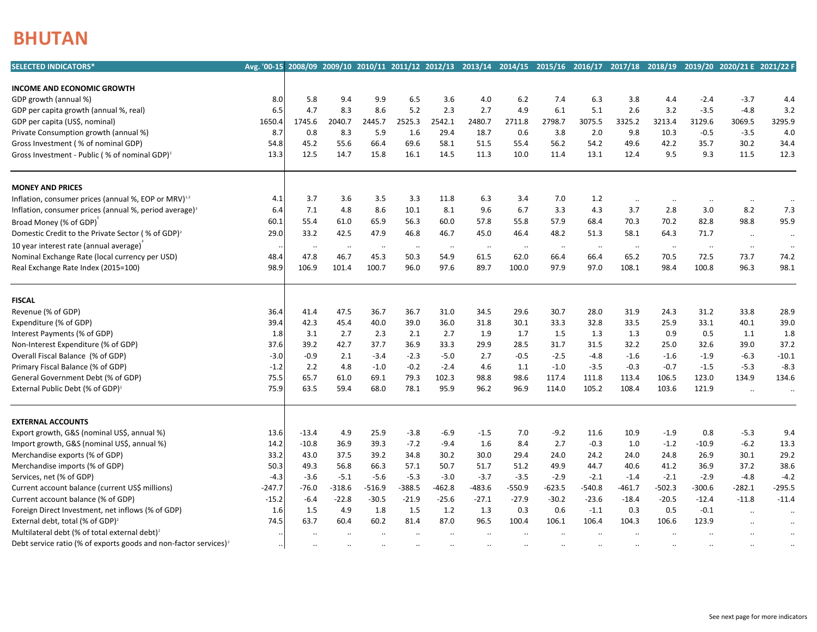## **BHUTAN**

| <b>SELECTED INDICATORS*</b>                                                  | Avg.'00-15 2008/09 2009/10 2010/11 2011/12 2012/13 2013/14 2014/15 2015/16 2016/17 2017/18 2018/19 2019/20 2020/21 E 2021/22 F |                       |                  |                  |                  |                      |                      |                   |                      |                      |                       |                      |                      |                      |                      |
|------------------------------------------------------------------------------|--------------------------------------------------------------------------------------------------------------------------------|-----------------------|------------------|------------------|------------------|----------------------|----------------------|-------------------|----------------------|----------------------|-----------------------|----------------------|----------------------|----------------------|----------------------|
|                                                                              |                                                                                                                                |                       |                  |                  |                  |                      |                      |                   |                      |                      |                       |                      |                      |                      |                      |
| <b>INCOME AND ECONOMIC GROWTH</b><br>GDP growth (annual %)                   | 8.0                                                                                                                            | 5.8                   | 9.4              | 9.9              | 6.5              | 3.6                  | 4.0                  | 6.2               | 7.4                  | 6.3                  | 3.8                   | 4.4                  | $-2.4$               | $-3.7$               | 4.4                  |
| GDP per capita growth (annual %, real)                                       | 6.5                                                                                                                            | 4.7                   | 8.3              | 8.6              | 5.2              | 2.3                  | 2.7                  | 4.9               | 6.1                  | 5.1                  | 2.6                   | 3.2                  | $-3.5$               | $-4.8$               | 3.2                  |
| GDP per capita (US\$, nominal)                                               | 1650.4                                                                                                                         | 1745.6                | 2040.7           | 2445.7           | 2525.3           | 2542.1               | 2480.7               | 2711.8            | 2798.7               | 3075.5               | 3325.2                | 3213.4               | 3129.6               | 3069.5               | 3295.9               |
| Private Consumption growth (annual %)                                        | 8.7                                                                                                                            | 0.8                   | 8.3              | 5.9              | 1.6              | 29.4                 | 18.7                 | 0.6               | 3.8                  | 2.0                  | 9.8                   | 10.3                 | $-0.5$               | $-3.5$               | 4.0                  |
| Gross Investment (% of nominal GDP)                                          | 54.8                                                                                                                           | 45.2                  | 55.6             | 66.4             | 69.6             | 58.1                 | 51.5                 | 55.4              | 56.2                 | 54.2                 | 49.6                  | 42.2                 | 35.7                 | 30.2                 | 34.4                 |
| Gross Investment - Public (% of nominal GDP) <sup>2</sup>                    | 13.3                                                                                                                           | 12.5                  | 14.7             | 15.8             | 16.1             | 14.5                 | 11.3                 | 10.0              | 11.4                 | 13.1                 | 12.4                  | 9.5                  | 9.3                  | 11.5                 | 12.3                 |
|                                                                              |                                                                                                                                |                       |                  |                  |                  |                      |                      |                   |                      |                      |                       |                      |                      |                      |                      |
| <b>MONEY AND PRICES</b>                                                      |                                                                                                                                |                       |                  |                  |                  |                      |                      |                   |                      |                      |                       |                      |                      |                      |                      |
| Inflation, consumer prices (annual %, EOP or MRV) <sup>1,3</sup>             | 4.1                                                                                                                            | 3.7                   | 3.6              | 3.5              | 3.3              | 11.8                 | 6.3                  | 3.4               | 7.0                  | 1.2                  | $\cdot\cdot$          | $\ddotsc$            | $\cdot\cdot$         | $\cdot\cdot$         | $\ldots$             |
| Inflation, consumer prices (annual %, period average) <sup>3</sup>           | 6.4                                                                                                                            | 7.1                   | 4.8              | 8.6              | 10.1             | 8.1                  | 9.6                  | 6.7               | 3.3                  | 4.3                  | 3.7                   | 2.8                  | 3.0                  | 8.2                  | 7.3                  |
| Broad Money (% of GDP)                                                       | 60.1                                                                                                                           | 55.4                  | 61.0             | 65.9             | 56.3             | 60.0                 | 57.8                 | 55.8              | 57.9                 | 68.4                 | 70.3                  | 70.2                 | 82.8                 | 98.8                 | 95.9                 |
| Domestic Credit to the Private Sector (% of GDP) <sup>2</sup>                | 29.0                                                                                                                           | 33.2                  | 42.5             | 47.9             | 46.8             | 46.7                 | 45.0                 | 46.4              | 48.2                 | 51.3                 | 58.1                  | 64.3                 | 71.7                 |                      |                      |
| 10 year interest rate (annual average)                                       |                                                                                                                                |                       |                  |                  |                  |                      |                      |                   |                      |                      |                       |                      |                      | $\ldots$             | $\cdot\cdot$         |
| Nominal Exchange Rate (local currency per USD)                               | 48.4                                                                                                                           | $\cdot \cdot$<br>47.8 | $\cdots$<br>46.7 | $\ldots$<br>45.3 | $\cdots$<br>50.3 | $\cdots$<br>54.9     | $\cdot\cdot$<br>61.5 | $\ddotsc$<br>62.0 | $\cdot\cdot$<br>66.4 | $\cdot\cdot$<br>66.4 | $\cdot \cdot$<br>65.2 | $\cdot\cdot$<br>70.5 | $\cdot\cdot$<br>72.5 | $\cdot\cdot$<br>73.7 | $\ddotsc$            |
| Real Exchange Rate Index (2015=100)                                          | 98.9                                                                                                                           | 106.9                 | 101.4            | 100.7            | 96.0             | 97.6                 | 89.7                 | 100.0             | 97.9                 | 97.0                 | 108.1                 | 98.4                 | 100.8                | 96.3                 | 74.2<br>98.1         |
|                                                                              |                                                                                                                                |                       |                  |                  |                  |                      |                      |                   |                      |                      |                       |                      |                      |                      |                      |
| <b>FISCAL</b>                                                                |                                                                                                                                |                       |                  |                  |                  |                      |                      |                   |                      |                      |                       |                      |                      |                      |                      |
| Revenue (% of GDP)                                                           | 36.4                                                                                                                           | 41.4                  | 47.5             | 36.7             | 36.7             | 31.0                 | 34.5                 | 29.6              | 30.7                 | 28.0                 | 31.9                  | 24.3                 | 31.2                 | 33.8                 | 28.9                 |
| Expenditure (% of GDP)                                                       | 39.4                                                                                                                           | 42.3                  | 45.4             | 40.0             | 39.0             | 36.0                 | 31.8                 | 30.1              | 33.3                 | 32.8                 | 33.5                  | 25.9                 | 33.1                 | 40.1                 | 39.0                 |
| Interest Payments (% of GDP)                                                 | 1.8                                                                                                                            | 3.1                   | 2.7              | 2.3              | 2.1              | 2.7                  | 1.9                  | 1.7               | 1.5                  | 1.3                  | 1.3                   | 0.9                  | 0.5                  | 1.1                  | 1.8                  |
| Non-Interest Expenditure (% of GDP)                                          | 37.6                                                                                                                           | 39.2                  | 42.7             | 37.7             | 36.9             | 33.3                 | 29.9                 | 28.5              | 31.7                 | 31.5                 | 32.2                  | 25.0                 | 32.6                 | 39.0                 | 37.2                 |
| Overall Fiscal Balance (% of GDP)                                            | $-3.0$                                                                                                                         | $-0.9$                | 2.1              | $-3.4$           | $-2.3$           | $-5.0$               | 2.7                  | $-0.5$            | $-2.5$               | $-4.8$               | $-1.6$                | $-1.6$               | $-1.9$               | $-6.3$               | $-10.1$              |
| Primary Fiscal Balance (% of GDP)                                            | $-1.2$                                                                                                                         | 2.2                   | 4.8              | $-1.0$           | $-0.2$           | $-2.4$               | 4.6                  | 1.1               | $-1.0$               | $-3.5$               | $-0.3$                | $-0.7$               | $-1.5$               | $-5.3$               | $-8.3$               |
| General Government Debt (% of GDP)                                           | 75.5                                                                                                                           | 65.7                  | 61.0             | 69.1             | 79.3             | 102.3                | 98.8                 | 98.6              | 117.4                | 111.8                | 113.4                 | 106.5                | 123.0                | 134.9                | 134.6                |
| External Public Debt (% of GDP) <sup>2</sup>                                 | 75.9                                                                                                                           | 63.5                  | 59.4             | 68.0             | 78.1             | 95.9                 | 96.2                 | 96.9              | 114.0                | 105.2                | 108.4                 | 103.6                | 121.9                | $\ddot{\phantom{a}}$ | $\ddotsc$            |
| <b>EXTERNAL ACCOUNTS</b>                                                     |                                                                                                                                |                       |                  |                  |                  |                      |                      |                   |                      |                      |                       |                      |                      |                      |                      |
| Export growth, G&S (nominal US\$, annual %)                                  |                                                                                                                                |                       |                  |                  |                  |                      |                      |                   |                      |                      |                       |                      |                      | $-5.3$               |                      |
| Import growth, G&S (nominal US\$, annual %)                                  | 13.6                                                                                                                           | $-13.4$<br>$-10.8$    | 4.9<br>36.9      | 25.9<br>39.3     | -3.8<br>$-7.2$   | $-6.9$<br>$-9.4$     | $-1.5$<br>1.6        | 7.0<br>8.4        | $-9.2$<br>2.7        | 11.6<br>$-0.3$       | 10.9<br>1.0           | $-1.9$<br>$-1.2$     | 0.8<br>$-10.9$       | $-6.2$               | 9.4                  |
| Merchandise exports (% of GDP)                                               | 14.2<br>33.2                                                                                                                   | 43.0                  |                  | 39.2             | 34.8             |                      |                      | 29.4              |                      |                      |                       |                      | 26.9                 | 30.1                 | 13.3<br>29.2         |
| Merchandise imports (% of GDP)                                               | 50.3                                                                                                                           | 49.3                  | 37.5<br>56.8     | 66.3             | 57.1             | 30.2<br>50.7         | 30.0<br>51.7         | 51.2              | 24.0<br>49.9         | 24.2<br>44.7         | 24.0<br>40.6          | 24.8<br>41.2         | 36.9                 | 37.2                 | 38.6                 |
|                                                                              |                                                                                                                                |                       |                  |                  |                  |                      |                      |                   |                      |                      |                       |                      |                      |                      |                      |
| Services, net (% of GDP)                                                     | $-4.3$                                                                                                                         | $-3.6$                | $-5.1$           | $-5.6$           | $-5.3$           | $-3.0$               | $-3.7$               | $-3.5$            | $-2.9$               | $-2.1$               | $-1.4$                | $-2.1$               | $-2.9$               | $-4.8$               | $-4.2$               |
| Current account balance (current US\$ millions)                              | $-247.7$                                                                                                                       | $-76.0$               | $-318.6$         | $-516.9$         | $-388.5$         | $-462.8$             | $-483.6$             | $-550.9$          | $-623.5$             | $-540.8$             | $-461.7$              | $-502.3$             | $-300.6$             | $-282.1$             | $-295.5$             |
| Current account balance (% of GDP)                                           | $-15.2$                                                                                                                        | $-6.4$                | $-22.8$          | $-30.5$          | $-21.9$          | $-25.6$              | $-27.1$              | $-27.9$           | $-30.2$              | $-23.6$              | $-18.4$               | $-20.5$              | $-12.4$              | $-11.8$              | $-11.4$              |
| Foreign Direct Investment, net inflows (% of GDP)                            | 1.6                                                                                                                            | 1.5                   | 4.9              | 1.8              | 1.5              | 1.2                  | 1.3                  | 0.3               | 0.6                  | $-1.1$               | 0.3                   | 0.5                  | $-0.1$               | $\ddotsc$            | $\ddot{\phantom{a}}$ |
| External debt, total (% of GDP) <sup>2</sup>                                 | 74.5                                                                                                                           | 63.7                  | 60.4             | 60.2             | 81.4             | 87.0                 | 96.5                 | 100.4             | 106.1                | 106.4                | 104.3                 | 106.6                | 123.9                | $\ddot{\phantom{a}}$ | $\ddotsc$            |
| Multilateral debt (% of total external debt) <sup>2</sup>                    |                                                                                                                                | $\ddotsc$             | $\ddotsc$        | $\ddotsc$        | $\ddotsc$        | $\ddot{\phantom{a}}$ | $\ddotsc$            | $\ddotsc$         | $\ddotsc$            | $\ddotsc$            | $\ddotsc$             | $\ddot{\phantom{a}}$ | $\ddotsc$            | $\ddotsc$            | $\cdot\cdot$         |
| Debt service ratio (% of exports goods and non-factor services) <sup>2</sup> |                                                                                                                                |                       |                  |                  |                  |                      |                      |                   |                      |                      |                       |                      |                      |                      |                      |